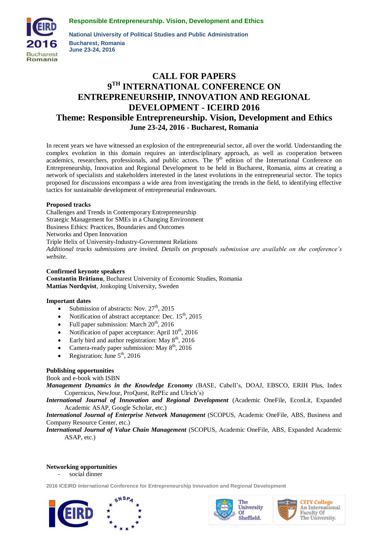**Responsible Entrepreneurship. Vision, Development and Ethics**



**National University of Political Studies and Public Administration Bucharest, Romania June 23-24, 2016**

# **CALL FOR PAPERS 9 TH INTERNATIONAL CONFERENCE ON ENTREPRENEURSHIP, INNOVATION AND REGIONAL DEVELOPMENT - ICEIRD 2016 Theme: Responsible Entrepreneurship. Vision, Development and Ethics June 23-24, 2016 - Bucharest, Romania**

In recent years we have witnessed an explosion of the entrepreneurial sector, all over the world. Understanding the complex evolution in this domain requires an interdisciplinary approach, as well as cooperation between academics, researchers, professionals, and public actors. The 9<sup>th</sup> edition of the International Conference on Entrepreneurship, Innovation and Regional Development to be held in Bucharest, Romania, aims at creating a network of specialists and stakeholders interested in the latest evolutions in the entrepreneurial sector. The topics proposed for discussions encompass a wide area from investigating the trends in the field, to identifying effective tactics for sustainable development of entrepreneurial endeavours.

## **Proposed tracks**

Challenges and Trends in Contemporary Entrepreneurship Strategic Management for SMEs in a Changing Environment Business Ethics: Practices, Boundaries and Outcomes Networks and Open Innovation Triple Helix of University-Industry-Government Relations *Additional tracks submissions are invited. Details on proposals submission are available on the conference's website.* 

**Confirmed keynote speakers Constantin Brătianu**, Bucharest University of Economic Studies, Romania **Mattias Nordqvist**, Jonkoping University, Sweden

#### **Important dates**

- Submission of abstracts: Nov.  $27<sup>th</sup>$ , 2015
- Notification of abstract acceptance: Dec.  $15<sup>th</sup>$ , 2015
- Full paper submission: March  $20<sup>th</sup>$ , 2016
- Notification of paper acceptance: April  $10^{th}$ , 2016
- Early bird and author registration: May  $8<sup>th</sup>$ , 2016
- Camera-ready paper submission: May  $8<sup>th</sup>$ , 2016
- Registration: June  $5<sup>th</sup>$ , 2016

#### **Publishing opportunities**

Book and e-book with ISBN

*Management Dynamics in the Knowledge Economy* (BASE, Cabell's, DOAJ, EBSCO, ERIH Plus, Index Copernicus, NewJour, ProQuest, RePEc and Ulrich's)

*International Journal of Innovation and Regional Development* (Academic OneFile, EconLit, Expanded Academic ASAP, Google Scholar, etc.)

*International Journal of Enterprise Network Management* (SCOPUS, Academic OneFile, ABS, Business and Company Resource Center, etc.)

*International Journal of Value Chain Management* (SCOPUS, Academic OneFile, ABS, Expanded Academic ASAP, etc.)

## **Networking opportunities**

social dinner

**2016 ICEIRD International Conference for Entrepreneurship Innovation and Regional Development**







**CITY College** An International Faculty Of The University.